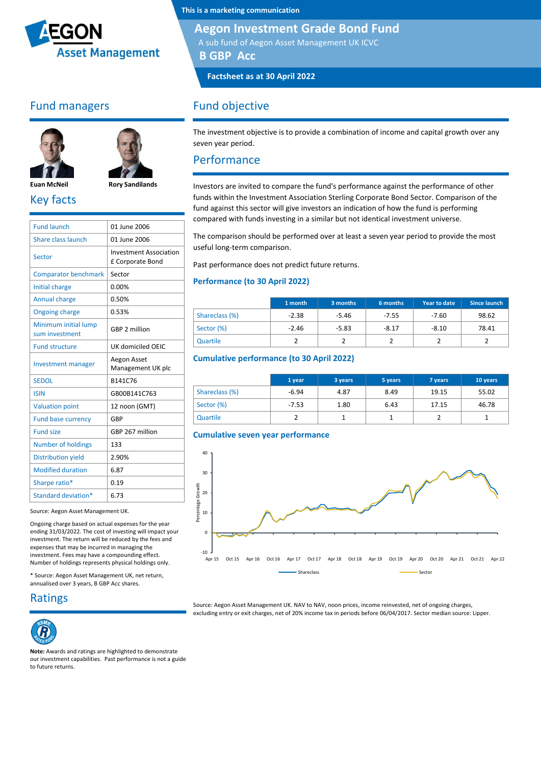

## Fund managers





**Euan McNeil Rory Sandilands** Key facts

| <b>Fund launch</b>                     | 01 June 2006                                      |
|----------------------------------------|---------------------------------------------------|
| Share class launch                     | 01 June 2006                                      |
| Sector                                 | <b>Investment Association</b><br>£ Corporate Bond |
| <b>Comparator benchmark</b>            | Sector                                            |
| Initial charge                         | 0.00%                                             |
| <b>Annual charge</b>                   | 0.50%                                             |
| <b>Ongoing charge</b>                  | 0.53%                                             |
| Minimum initial lump<br>sum investment | GBP 2 million                                     |
| <b>Fund structure</b>                  | UK domiciled OEIC                                 |
| <b>Investment manager</b>              | Aegon Asset<br>Management UK plc                  |
| <b>SEDOL</b>                           | B141C76                                           |
| <b>ISIN</b>                            | GB00B141C763                                      |
| <b>Valuation point</b>                 | 12 noon (GMT)                                     |
| <b>Fund base currency</b>              | GBP                                               |
| <b>Fund size</b>                       | GBP 267 million                                   |
| <b>Number of holdings</b>              | 133                                               |
| <b>Distribution yield</b>              | 2.90%                                             |
| <b>Modified duration</b>               | 6.87                                              |
| Sharpe ratio*                          | 0.19                                              |
| Standard deviation*                    | 6.73                                              |
|                                        |                                                   |

Source: Aegon Asset Management UK.

Ongoing charge based on actual expenses for the year ending 31/03/2022. The cost of investing will impact your investment. The return will be reduced by the fees and expenses that may be incurred in managing the investment. Fees may have a compounding effect. Number of holdings represents physical holdings only.

\* Source: Aegon Asset Management UK, net return, annualised over 3 years, B GBP Acc shares.

Ratings



**Note:** Awards and ratings are highlighted to demonstrate our investment capabilities. Past performance is not a guide to future returns.

**This is a marketing communication**

#### **Aegon Investment Grade Bond Fund**

A sub fund of Aegon Asset Management UK ICVC

**B GBP Acc**

**Factsheet as at 30 April 2022**

### Fund objective

The investment objective is to provide a combination of income and capital growth over any seven year period.

#### Performance

Investors are invited to compare the fund's performance against the performance of other funds within the Investment Association Sterling Corporate Bond Sector. Comparison of the fund against this sector will give investors an indication of how the fund is performing compared with funds investing in a similar but not identical investment universe.

The comparison should be performed over at least a seven year period to provide the most useful long-term comparison.

Past performance does not predict future returns.

#### **Performance (to 30 April 2022)**

|                | 1 month | 3 months | 6 months | Year to date | Since launch |
|----------------|---------|----------|----------|--------------|--------------|
| Shareclass (%) | $-2.38$ | $-5.46$  | $-7.55$  | $-7.60$      | 98.62        |
| Sector (%)     | $-2.46$ | $-5.83$  | $-8.17$  | $-8.10$      | 78.41        |
| Quartile       |         |          |          |              |              |

#### **Cumulative performance (to 30 April 2022)**

|                | 1 year  | 3 years | 5 years | 7 years | 10 years |
|----------------|---------|---------|---------|---------|----------|
| Shareclass (%) | $-6.94$ | 4.87    | 8.49    | 19.15   | 55.02    |
| Sector (%)     | $-7.53$ | 1.80    | 6.43    | 17.15   | 46.78    |
| Quartile       |         |         |         |         |          |





Source: Aegon Asset Management UK. NAV to NAV, noon prices, income reinvested, net of ongoing charges, excluding entry or exit charges, net of 20% income tax in periods before 06/04/2017. Sector median source: Lipper.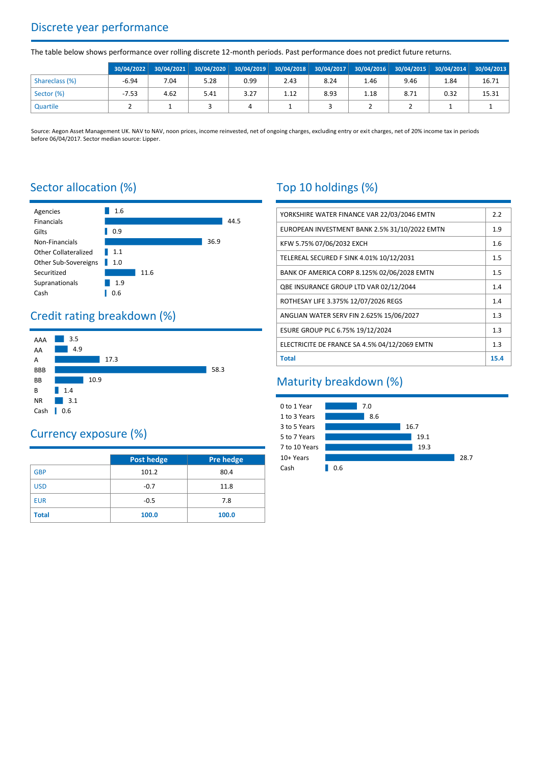# Discrete year performance

The table below shows performance over rolling discrete 12-month periods. Past performance does not predict future returns.

|                | 30/04/2022 |      |      |      |      |      | 30/04/2021 30/04/2020 30/04/2019 30/04/2018 30/04/2017 30/04/2016 30/04/2015 30/04/2014 30/04/2013 |      |      |       |
|----------------|------------|------|------|------|------|------|----------------------------------------------------------------------------------------------------|------|------|-------|
| Shareclass (%) | $-6.94$    | 7.04 | 5.28 | 0.99 | 2.43 | 8.24 | 1.46                                                                                               | 9.46 | 1.84 | 16.71 |
| Sector (%)     | $-7.53$    | 4.62 | 5.41 | 3.27 | 1.12 | 8.93 | 1.18                                                                                               | 8.71 | 0.32 | 15.31 |
| Quartile       |            |      |      |      |      |      |                                                                                                    |      |      |       |

Source: Aegon Asset Management UK. NAV to NAV, noon prices, income reinvested, net of ongoing charges, excluding entry or exit charges, net of 20% income tax in periods before 06/04/2017. Sector median source: Lipper.

# Sector allocation (%)



# Credit rating breakdown (%)



# Currency exposure (%)

|              | Post hedge | Pre hedge |
|--------------|------------|-----------|
| <b>GBP</b>   | 101.2      | 80.4      |
| <b>USD</b>   | $-0.7$     | 11.8      |
| <b>EUR</b>   | $-0.5$     | 7.8       |
| <b>Total</b> | 100.0      | 100.0     |

# Top 10 holdings (%)

| YORKSHIRE WATER FINANCE VAR 22/03/2046 EMTN   | 2.2  |
|-----------------------------------------------|------|
| EUROPEAN INVESTMENT BANK 2.5% 31/10/2022 EMTN | 1.9  |
| KFW 5.75% 07/06/2032 EXCH                     | 1.6  |
| TELEREAL SECURED F SINK 4.01% 10/12/2031      | 1.5  |
| BANK OF AMERICA CORP 8.125% 02/06/2028 EMTN   | 1.5  |
| QBE INSURANCE GROUP LTD VAR 02/12/2044        | 1.4  |
| ROTHESAY LIFE 3.375% 12/07/2026 REGS          | 1.4  |
| ANGLIAN WATER SERV FIN 2.625% 15/06/2027      | 1.3  |
| ESURE GROUP PLC 6.75% 19/12/2024              | 1.3  |
| ELECTRICITE DE FRANCE SA 4.5% 04/12/2069 EMTN | 1.3  |
| <b>Total</b>                                  | 15.4 |

# Maturity breakdown (%)